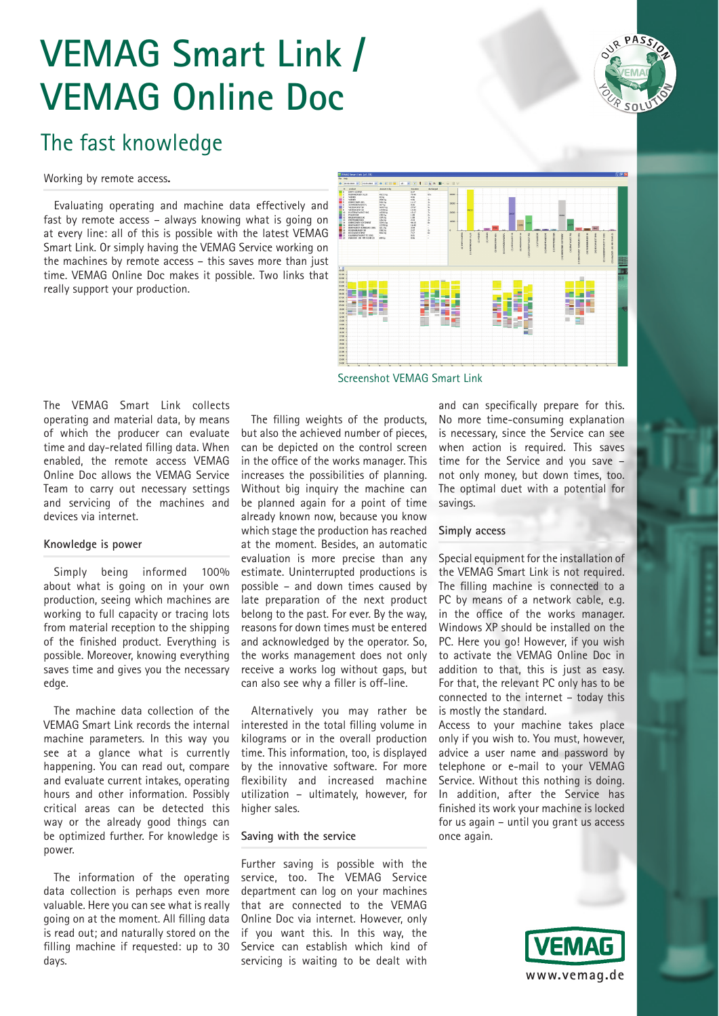# **VEMAG Smart Link / VEMAG Online Doc**



# The fast knowledge

Working by remote access**.** 

Evaluating operating and machine data effectively and fast by remote access – always knowing what is going on at every line: all of this is possible with the latest VEMAG Smart Link. Or simply having the VEMAG Service working on the machines by remote access – this saves more than just time. VEMAG Online Doc makes it possible. Two links that really support your production.



Screenshot VEMAG Smart Link

The VEMAG Smart Link collects operating and material data, by means of which the producer can evaluate time and day-related filling data. When enabled, the remote access VEMAG Online Doc allows the VEMAG Service Team to carry out necessary settings and servicing of the machines and devices via internet.

## **Knowledge is power**

Simply being informed 100% about what is going on in your own production, seeing which machines are working to full capacity or tracing lots from material reception to the shipping of the finished product. Everything is possible. Moreover, knowing everything saves time and gives you the necessary edge.

The machine data collection of the VEMAG Smart Link records the internal machine parameters. In this way you see at a glance what is currently happening. You can read out, compare and evaluate current intakes, operating hours and other information. Possibly critical areas can be detected this way or the already good things can be optimized further. For knowledge is power.

The information of the operating data collection is perhaps even more valuable. Here you can see what is really going on at the moment. All filling data is read out; and naturally stored on the filling machine if requested: up to 30 days.

The filling weights of the products, but also the achieved number of pieces, can be depicted on the control screen in the office of the works manager. This increases the possibilities of planning. Without big inquiry the machine can be planned again for a point of time already known now, because you know which stage the production has reached at the moment. Besides, an automatic evaluation is more precise than any estimate. Uninterrupted productions is possible – and down times caused by late preparation of the next product belong to the past. For ever. By the way, reasons for down times must be entered and acknowledged by the operator. So, the works management does not only receive a works log without gaps, but can also see why a filler is off-line.

Alternatively you may rather be interested in the total filling volume in kilograms or in the overall production time. This information, too, is displayed by the innovative software. For more flexibility and increased machine utilization – ultimately, however, for higher sales.

#### **Saving with the service**

Further saving is possible with the service, too. The VEMAG Service department can log on your machines that are connected to the VEMAG Online Doc via internet. However, only if you want this. In this way, the Service can establish which kind of servicing is waiting to be dealt with

and can specifically prepare for this. No more time-consuming explanation is necessary, since the Service can see when action is required. This saves time for the Service and you save – not only money, but down times, too. The optimal duet with a potential for savings.

#### **Simply access**

Special equipment for the installation of the VEMAG Smart Link is not required. The filling machine is connected to a PC by means of a network cable, e.g. in the office of the works manager. Windows XP should be installed on the PC. Here you go! However, if you wish to activate the VEMAG Online Doc in addition to that, this is just as easy. For that, the relevant PC only has to be connected to the internet – today this is mostly the standard.

Access to your machine takes place only if you wish to. You must, however, advice a user name and password by telephone or e-mail to your VEMAG Service. Without this nothing is doing. In addition, after the Service has finished its work your machine is locked for us again – until you grant us access once again.